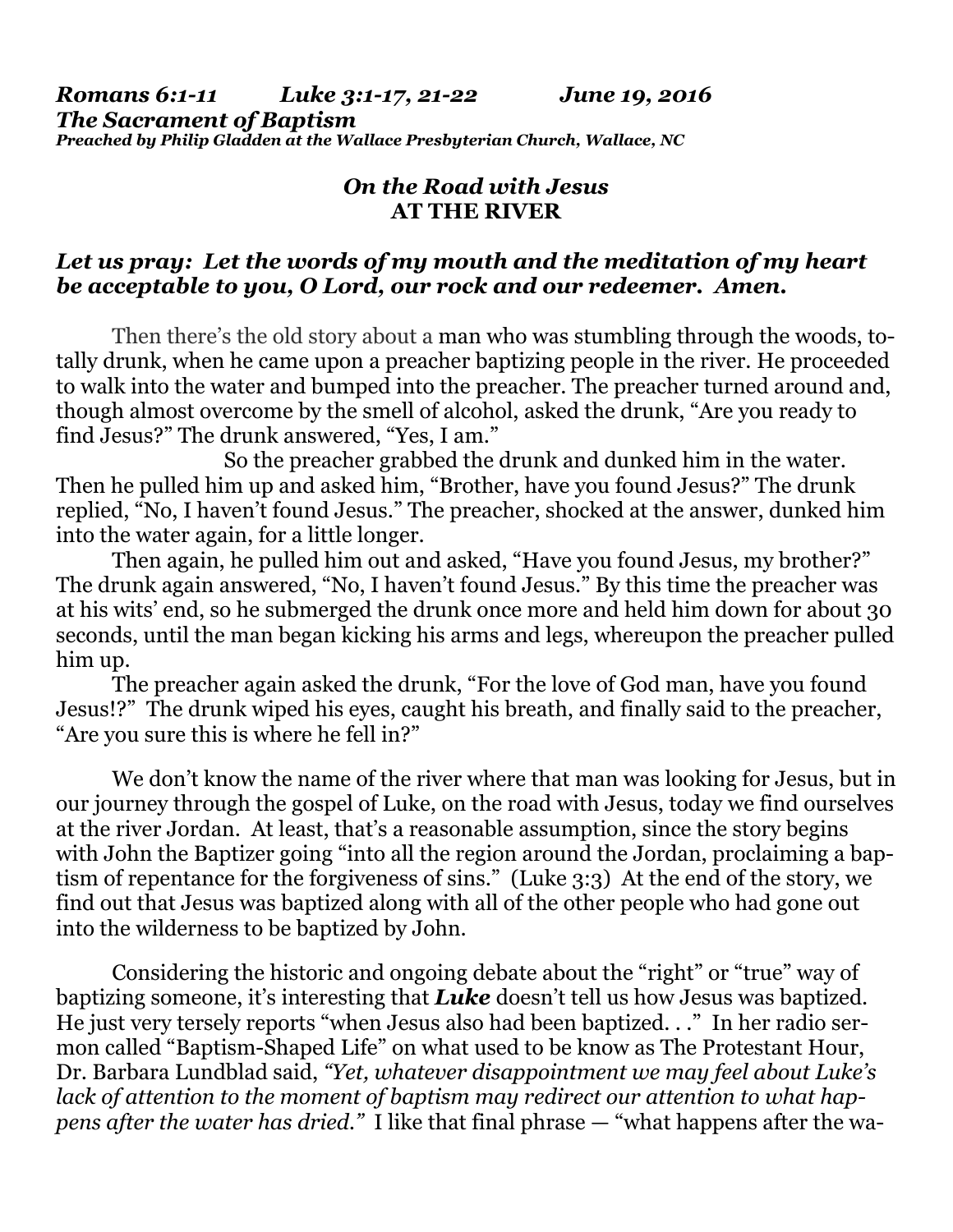*Romans 6:1-11 Luke 3:1-17, 21-22 June 19, 2016 The Sacrament of Baptism Preached by Philip Gladden at the Wallace Presbyterian Church, Wallace, NC* 

## *On the Road with Jesus*  **AT THE RIVER**

## *Let us pray: Let the words of my mouth and the meditation of my heart be acceptable to you, O Lord, our rock and our redeemer. Amen.*

Then there's the old story about a man who was stumbling through the woods, totally drunk, when he came upon a preacher baptizing people in the river. He proceeded to walk into the water and bumped into the preacher. The preacher turned around and, though almost overcome by the smell of alcohol, asked the drunk, "Are you ready to find Jesus?" The drunk answered, "Yes, I am."

 So the preacher grabbed the drunk and dunked him in the water. Then he pulled him up and asked him, "Brother, have you found Jesus?" The drunk replied, "No, I haven't found Jesus." The preacher, shocked at the answer, dunked him into the water again, for a little longer.

 Then again, he pulled him out and asked, "Have you found Jesus, my brother?" The drunk again answered, "No, I haven't found Jesus." By this time the preacher was at his wits' end, so he submerged the drunk once more and held him down for about 30 seconds, until the man began kicking his arms and legs, whereupon the preacher pulled him up.

 The preacher again asked the drunk, "For the love of God man, have you found Jesus!?" The drunk wiped his eyes, caught his breath, and finally said to the preacher, "Are you sure this is where he fell in?"

 We don't know the name of the river where that man was looking for Jesus, but in our journey through the gospel of Luke, on the road with Jesus, today we find ourselves at the river Jordan. At least, that's a reasonable assumption, since the story begins with John the Baptizer going "into all the region around the Jordan, proclaiming a baptism of repentance for the forgiveness of sins." (Luke 3:3) At the end of the story, we find out that Jesus was baptized along with all of the other people who had gone out into the wilderness to be baptized by John.

 Considering the historic and ongoing debate about the "right" or "true" way of baptizing someone, it's interesting that *Luke* doesn't tell us how Jesus was baptized. He just very tersely reports "when Jesus also had been baptized. . ." In her radio sermon called "Baptism-Shaped Life" on what used to be know as The Protestant Hour, Dr. Barbara Lundblad said, *"Yet, whatever disappointment we may feel about Luke's lack of attention to the moment of baptism may redirect our attention to what happens after the water has dried."* I like that final phrase — "what happens after the wa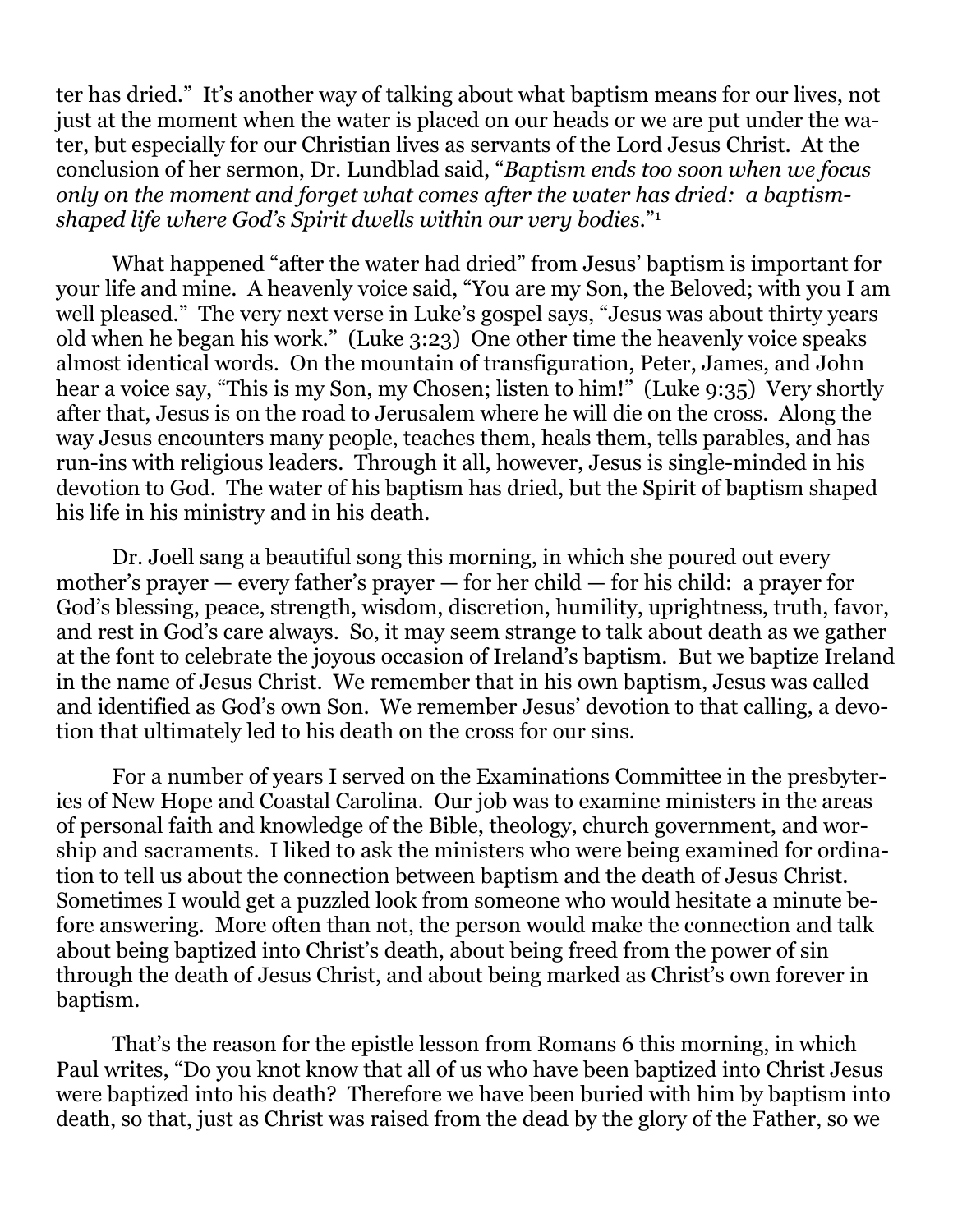ter has dried." It's another way of talking about what baptism means for our lives, not just at the moment when the water is placed on our heads or we are put under the water, but especially for our Christian lives as servants of the Lord Jesus Christ. At the conclusion of her sermon, Dr. Lundblad said, "*Baptism ends too soon when we focus only on the moment and forget what comes after the water has dried: a baptismshaped life where God's Spirit dwells within our very bodies.*"1

What happened "after the water had dried" from Jesus' baptism is important for your life and mine. A heavenly voice said, "You are my Son, the Beloved; with you I am well pleased." The very next verse in Luke's gospel says, "Jesus was about thirty years old when he began his work." (Luke 3:23) One other time the heavenly voice speaks almost identical words. On the mountain of transfiguration, Peter, James, and John hear a voice say, "This is my Son, my Chosen; listen to him!" (Luke 9:35) Very shortly after that, Jesus is on the road to Jerusalem where he will die on the cross. Along the way Jesus encounters many people, teaches them, heals them, tells parables, and has run-ins with religious leaders. Through it all, however, Jesus is single-minded in his devotion to God. The water of his baptism has dried, but the Spirit of baptism shaped his life in his ministry and in his death.

 Dr. Joell sang a beautiful song this morning, in which she poured out every mother's prayer — every father's prayer — for her child — for his child: a prayer for God's blessing, peace, strength, wisdom, discretion, humility, uprightness, truth, favor, and rest in God's care always. So, it may seem strange to talk about death as we gather at the font to celebrate the joyous occasion of Ireland's baptism. But we baptize Ireland in the name of Jesus Christ. We remember that in his own baptism, Jesus was called and identified as God's own Son. We remember Jesus' devotion to that calling, a devotion that ultimately led to his death on the cross for our sins.

 For a number of years I served on the Examinations Committee in the presbyteries of New Hope and Coastal Carolina. Our job was to examine ministers in the areas of personal faith and knowledge of the Bible, theology, church government, and worship and sacraments. I liked to ask the ministers who were being examined for ordination to tell us about the connection between baptism and the death of Jesus Christ. Sometimes I would get a puzzled look from someone who would hesitate a minute before answering. More often than not, the person would make the connection and talk about being baptized into Christ's death, about being freed from the power of sin through the death of Jesus Christ, and about being marked as Christ's own forever in baptism.

 That's the reason for the epistle lesson from Romans 6 this morning, in which Paul writes, "Do you knot know that all of us who have been baptized into Christ Jesus were baptized into his death? Therefore we have been buried with him by baptism into death, so that, just as Christ was raised from the dead by the glory of the Father, so we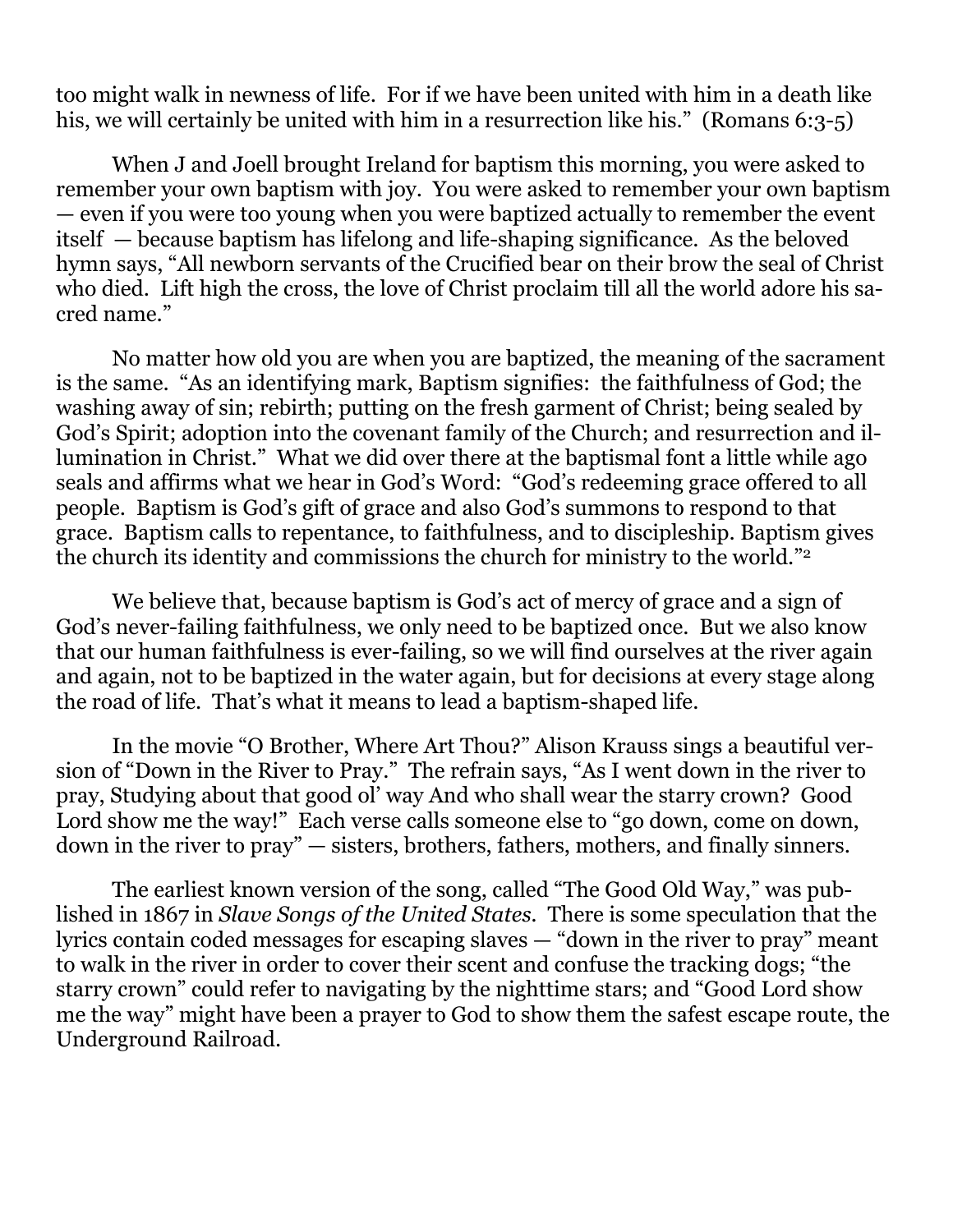too might walk in newness of life. For if we have been united with him in a death like his, we will certainly be united with him in a resurrection like his." (Romans 6:3-5)

 When J and Joell brought Ireland for baptism this morning, you were asked to remember your own baptism with joy. You were asked to remember your own baptism — even if you were too young when you were baptized actually to remember the event itself — because baptism has lifelong and life-shaping significance. As the beloved hymn says, "All newborn servants of the Crucified bear on their brow the seal of Christ who died. Lift high the cross, the love of Christ proclaim till all the world adore his sacred name."

 No matter how old you are when you are baptized, the meaning of the sacrament is the same. "As an identifying mark, Baptism signifies: the faithfulness of God; the washing away of sin; rebirth; putting on the fresh garment of Christ; being sealed by God's Spirit; adoption into the covenant family of the Church; and resurrection and illumination in Christ." What we did over there at the baptismal font a little while ago seals and affirms what we hear in God's Word: "God's redeeming grace offered to all people. Baptism is God's gift of grace and also God's summons to respond to that grace. Baptism calls to repentance, to faithfulness, and to discipleship. Baptism gives the church its identity and commissions the church for ministry to the world."2

 We believe that, because baptism is God's act of mercy of grace and a sign of God's never-failing faithfulness, we only need to be baptized once. But we also know that our human faithfulness is ever-failing, so we will find ourselves at the river again and again, not to be baptized in the water again, but for decisions at every stage along the road of life. That's what it means to lead a baptism-shaped life.

 In the movie "O Brother, Where Art Thou?" Alison Krauss sings a beautiful version of "Down in the River to Pray." The refrain says, "As I went down in the river to pray, Studying about that good ol' way And who shall wear the starry crown? Good Lord show me the way!" Each verse calls someone else to "go down, come on down, down in the river to pray" — sisters, brothers, fathers, mothers, and finally sinners.

 The earliest known version of the song, called "The Good Old Way," was published in 1867 in *Slave Songs of the United States.* There is some speculation that the lyrics contain coded messages for escaping slaves — "down in the river to pray" meant to walk in the river in order to cover their scent and confuse the tracking dogs; "the starry crown" could refer to navigating by the nighttime stars; and "Good Lord show me the way" might have been a prayer to God to show them the safest escape route, the Underground Railroad.